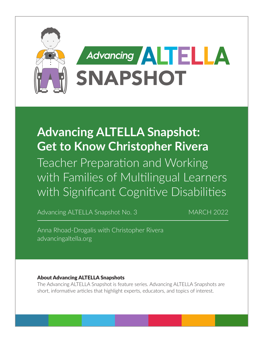

# **Advancing ALTELLA Snapshot: Get to Know Christopher Rivera**

Teacher Preparation and Working with Families of Multilingual Learners with Significant Cognitive Disabilities

Advancing ALTELLA Snapshot No. 3 MARCH 2022

Anna Rhoad-Drogalis with Christopher Rivera [advancingaltella.org](http://advancingaltella.org)

#### About Advancing ALTELLA Snapshots

The Advancing ALTELLA Snapshot is feature series. Advancing ALTELLA Snapshots are short, informative articles that highlight experts, educators, and topics of interest.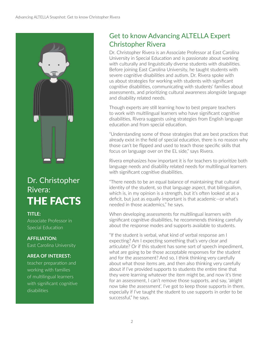

# Dr. Christopher Rivera: THE FACTS

**TITLE:**  Associate Professor in Special Education

## **AFFILIATION:**

East Carolina University

#### **AREA OF INTEREST:**

teacher preparation and working with families of multilingual learners with significant cognitive disabilities

# Get to know Advancing ALTELLA Expert Christopher Rivera

Dr. Christopher Rivera is an Associate Professor at East Carolina University in Special Education and is passionate about working with culturally and linguistically diverse students with disabilities. Before joining East Carolina University, he taught students with severe cognitive disabilities and autism. Dr. Rivera spoke with us about strategies for working with students with significant cognitive disabilities, communicating with students' families about assessments, and prioritizing cultural awareness alongside language and disability related needs.

Though experts are still learning how to best prepare teachers to work with multilingual learners who have significant cognitive disabilities, Rivera suggests using strategies from English language education and from special education.

"Understanding some of those strategies that are best practices that already exist in the field of special education, there is no reason why those can't be flipped and used to teach those specific skills that focus on language over on the EL side," says Rivera.

Rivera emphasizes how important it is for teachers to prioritize both language needs and disability related needs for multilingual learners with significant cognitive disabilities.

"There needs to be an equal balance of maintaining that cultural identity of the student, so that language aspect, that bilingualism, which is, in my opinion is a strength, but it's often looked at as a deficit, but just as equally important is that academic—or what's needed in those academics," he says.

When developing assessments for multilingual learners with significant cognitive disabilities, he recommends thinking carefully about the response modes and supports available to students.

"If the student is verbal, what kind of verbal response am I expecting? Am I expecting something that's very clear and articulate? Or if this student has some sort of speech impediment, what are going to be those acceptable responses for the student and for the assessment? And so, I think thinking very carefully about what those items are, and then also thinking very carefully about if I've provided supports to students the entire time that they were learning whatever the item might be, and now it's time for an assessment, I can't remove those supports, and say, 'alright now take the assessment'. I've got to keep those supports in there, especially if I've taught the student to use supports in order to be successful," he says.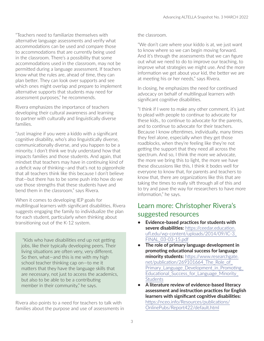"Teachers need to familiarize themselves with alternative language assessments and verify what accommodations can be used and compare those to accommodations that are currently being used in the classroom. There's a possibility that some accommodations used in the classroom, may not be permitted during a language assessment. If teachers know what the rules are, ahead of time, they can plan better. They can look over supports and see which ones might overlap and prepare to implement alternative supports that students may need for assessment purposes," he recommends.

Rivera emphasizes the importance of teachers developing their cultural awareness and learning to partner with culturally and linguistically diverse families.

"Just imagine if you were a kiddo with a significant cognitive disability, who's also linguistically diverse, communicationally diverse, and you happen to be a minority. I don't think we truly understand how that impacts families and those students. And again, that mindset that teachers may have in continuing kind of a deficit way of thinking—and that's not to pigeonhole that all teachers think like this because I don't believe that—but there has to be some push into how do we use those strengths that these students have and bend them in the classroom," says Rivera.

When it comes to developing IEP goals for multilingual learners with significant disabilities, Rivera suggests engaging the family to individualize the plan for each student, particularly when thinking about transitioning out of the K-12 system.

 "Kids who have disabilities end up not getting jobs, like their typically developing peers. Their living situations are often very, very different. So then, what—and this is me with my high school teacher thinking cap on—to me it matters that they have the language skills that are necessary, not just to access the academics, but also to be able to be a contributing member in their community," he says.

Rivera also points to a need for teachers to talk with families about the purpose and use of assessments in

#### the classroom.

"We don't care where your kiddo is at, we just want to know where so we can begin moving forward. And it's through the assessments that we can figure out what we need to do to improve our teaching, to improve what strategies we might use. And the more information we get about your kid, the better we are at meeting his or her needs," says Rivera.

In closing, he emphasizes the need for continued advocacy on behalf of multilingual learners with significant cognitive disabilities.

"I think if I were to make any other comment, it's just to plead with people to continue to advocate for these kids., to continue to advocate for the parents, and to continue to advocate for their teachers. Because I know oftentimes, individually, many times they feel alone, especially when they get those roadblocks, when they're feeling like they're not getting the support that they need all across the spectrum. And so, I think the more we advocate, the more we bring this to light, the more we have these discussions like this, I think it bodes well for everyone to know that, for parents and teachers to know that, there are organizations like this that are taking the times to really sift through all of this and to try and pave the way for researchers to have more information," he says.

### Learn more: Christopher Rivera's suggested resources

- **• Evidence-based practices for students with severe disabilities:** [https://ceedar.education.](https://ceedar.education.ufl.edu/wp-content/uploads/2014/09/IC-3_FINAL_03-03-15.pdf) [ufl.edu/wp-content/uploads/2014/09/IC-3\\_](https://ceedar.education.ufl.edu/wp-content/uploads/2014/09/IC-3_FINAL_03-03-15.pdf) [FINAL\\_03-03-15.pdf](https://ceedar.education.ufl.edu/wp-content/uploads/2014/09/IC-3_FINAL_03-03-15.pdf)
- **• The role of primary language development in promoting educational success for language minority students:** [https://www.researchgate.](https://www.researchgate.net/publication/269101664_The_Role_of_Primary_Language_Development_in_Promoting_Educational_Success_for_Language_Minority_Students) net/publication/269101664 The Role of Primary Language Development in Promoting Educational Success for Language Minority **[Students](https://www.researchgate.net/publication/269101664_The_Role_of_Primary_Language_Development_in_Promoting_Educational_Success_for_Language_Minority_Students)**
- **• A literature review of evidence-based literacy assessment and instruction practices for English learners with significant cognitive disabilities:**  [https://nceo.info/Resources/publications/](https://nceo.info/Resources/publications/OnlinePubs/Report422/default.html) [OnlinePubs/Report422/default.html](https://nceo.info/Resources/publications/OnlinePubs/Report422/default.html)